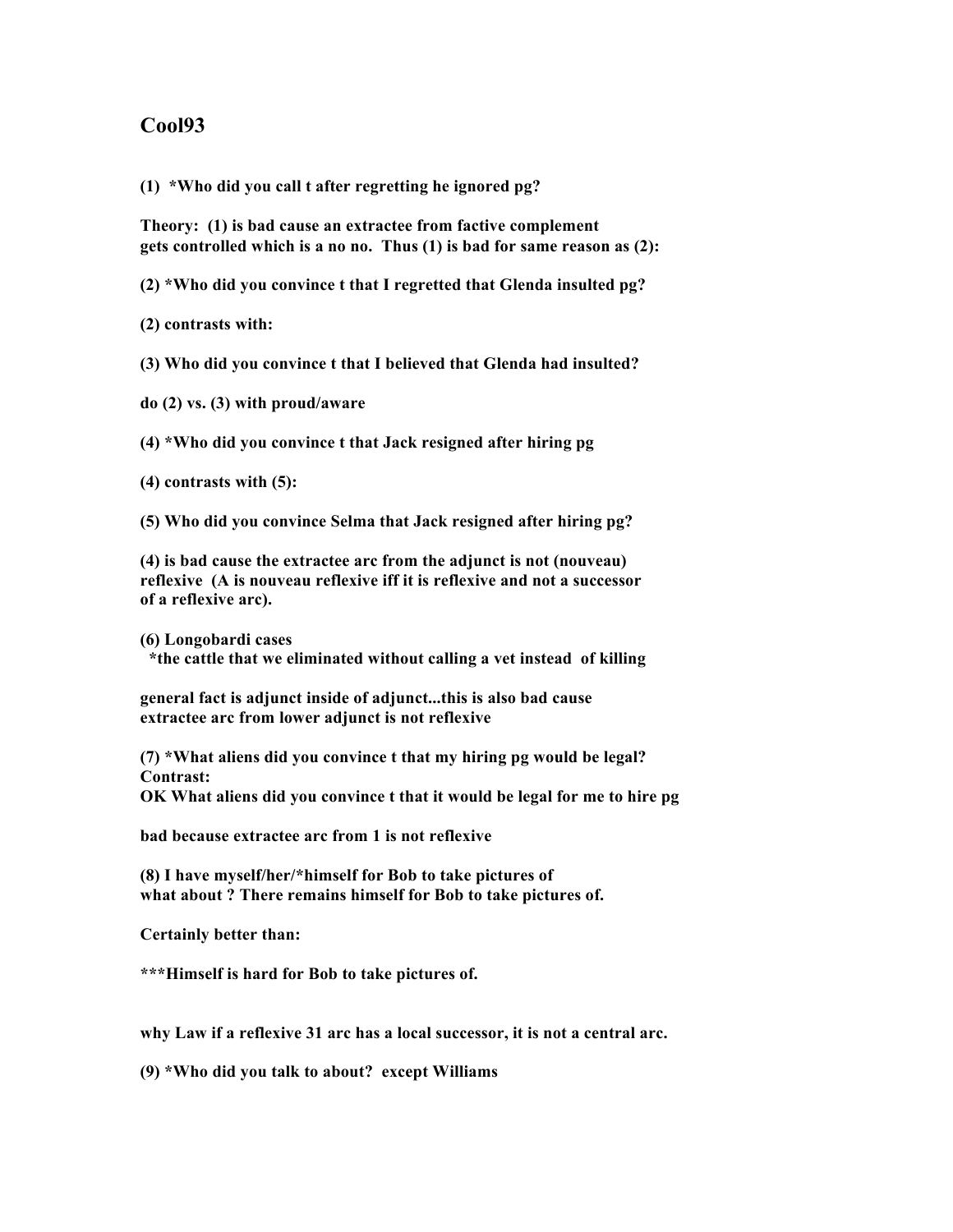## **Cool93**

**(1) \*Who did you call t after regretting he ignored pg?**

**Theory: (1) is bad cause an extractee from factive complement gets controlled which is a no no. Thus (1) is bad for same reason as (2):**

**(2) \*Who did you convince t that I regretted that Glenda insulted pg?**

**(2) contrasts with:**

**(3) Who did you convince t that I believed that Glenda had insulted?**

**do (2) vs. (3) with proud/aware**

**(4) \*Who did you convince t that Jack resigned after hiring pg**

**(4) contrasts with (5):**

**(5) Who did you convince Selma that Jack resigned after hiring pg?**

**(4) is bad cause the extractee arc from the adjunct is not (nouveau) reflexive (A is nouveau reflexive iff it is reflexive and not a successor of a reflexive arc).**

**(6) Longobardi cases \*the cattle that we eliminated without calling a vet instead of killing**

**general fact is adjunct inside of adjunct...this is also bad cause extractee arc from lower adjunct is not reflexive**

**(7) \*What aliens did you convince t that my hiring pg would be legal? Contrast: OK What aliens did you convince t that it would be legal for me to hire pg**

**bad because extractee arc from 1 is not reflexive**

**(8) I have myself/her/\*himself for Bob to take pictures of what about ? There remains himself for Bob to take pictures of.**

**Certainly better than:**

**\*\*\*Himself is hard for Bob to take pictures of.**

**why Law if a reflexive 31 arc has a local successor, it is not a central arc.**

**(9) \*Who did you talk to about? except Williams**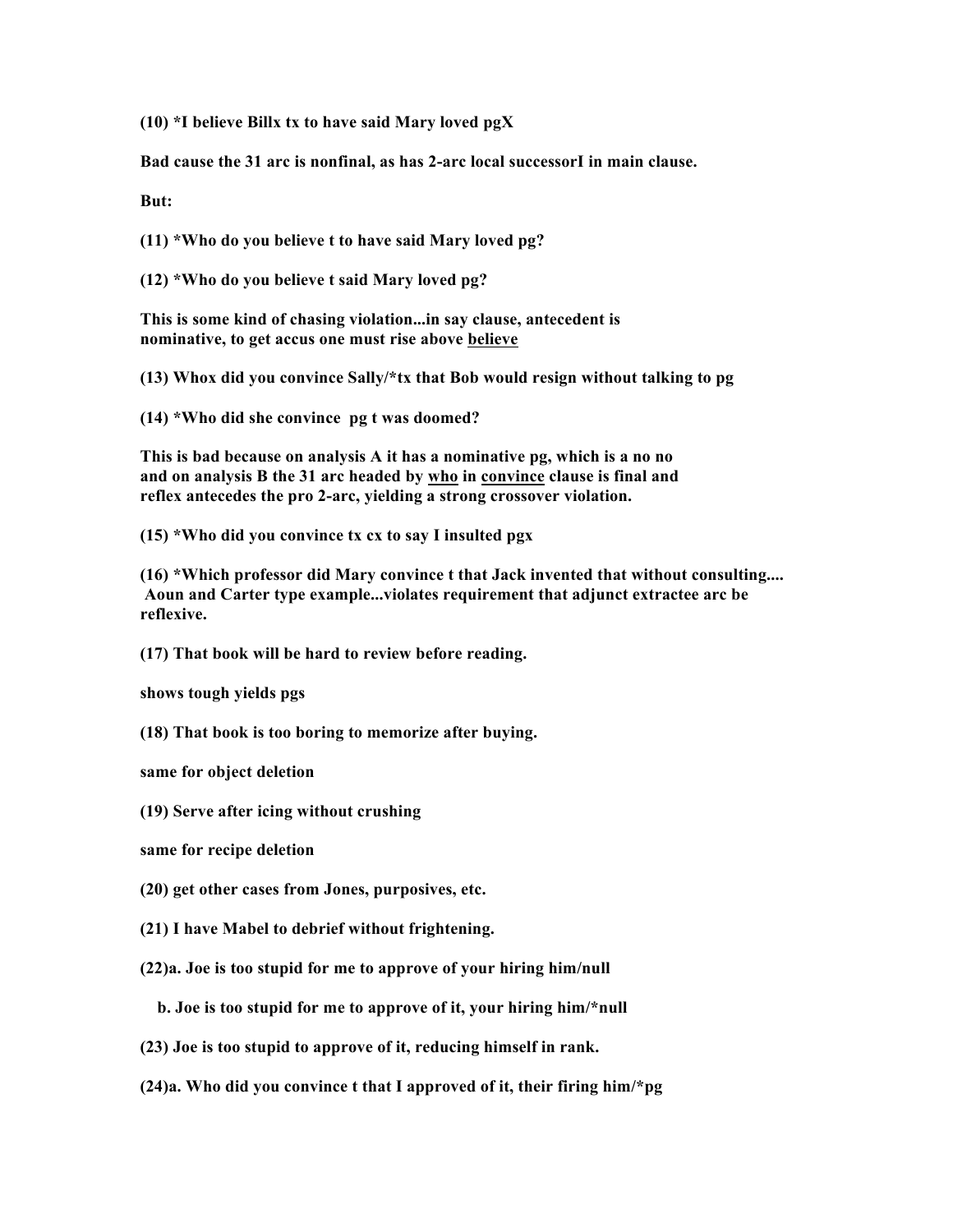**(10) \*I believe Billx tx to have said Mary loved pgX**

**Bad cause the 31 arc is nonfinal, as has 2-arc local successorI in main clause.**

**But:**

**(11) \*Who do you believe t to have said Mary loved pg?**

**(12) \*Who do you believe t said Mary loved pg?**

**This is some kind of chasing violation...in say clause, antecedent is nominative, to get accus one must rise above believe**

**(13) Whox did you convince Sally/\*tx that Bob would resign without talking to pg**

**(14) \*Who did she convince pg t was doomed?**

**This is bad because on analysis A it has a nominative pg, which is a no no and on analysis B the 31 arc headed by who in convince clause is final and reflex antecedes the pro 2-arc, yielding a strong crossover violation.**

**(15) \*Who did you convince tx cx to say I insulted pgx**

**(16) \*Which professor did Mary convince t that Jack invented that without consulting.... Aoun and Carter type example...violates requirement that adjunct extractee arc be reflexive.**

**(17) That book will be hard to review before reading.**

**shows tough yields pgs**

**(18) That book is too boring to memorize after buying.**

**same for object deletion**

**(19) Serve after icing without crushing**

**same for recipe deletion**

**(20) get other cases from Jones, purposives, etc.**

- **(21) I have Mabel to debrief without frightening.**
- **(22)a. Joe is too stupid for me to approve of your hiring him/null**

 **b. Joe is too stupid for me to approve of it, your hiring him/\*null**

- **(23) Joe is too stupid to approve of it, reducing himself in rank.**
- **(24)a. Who did you convince t that I approved of it, their firing him/\*pg**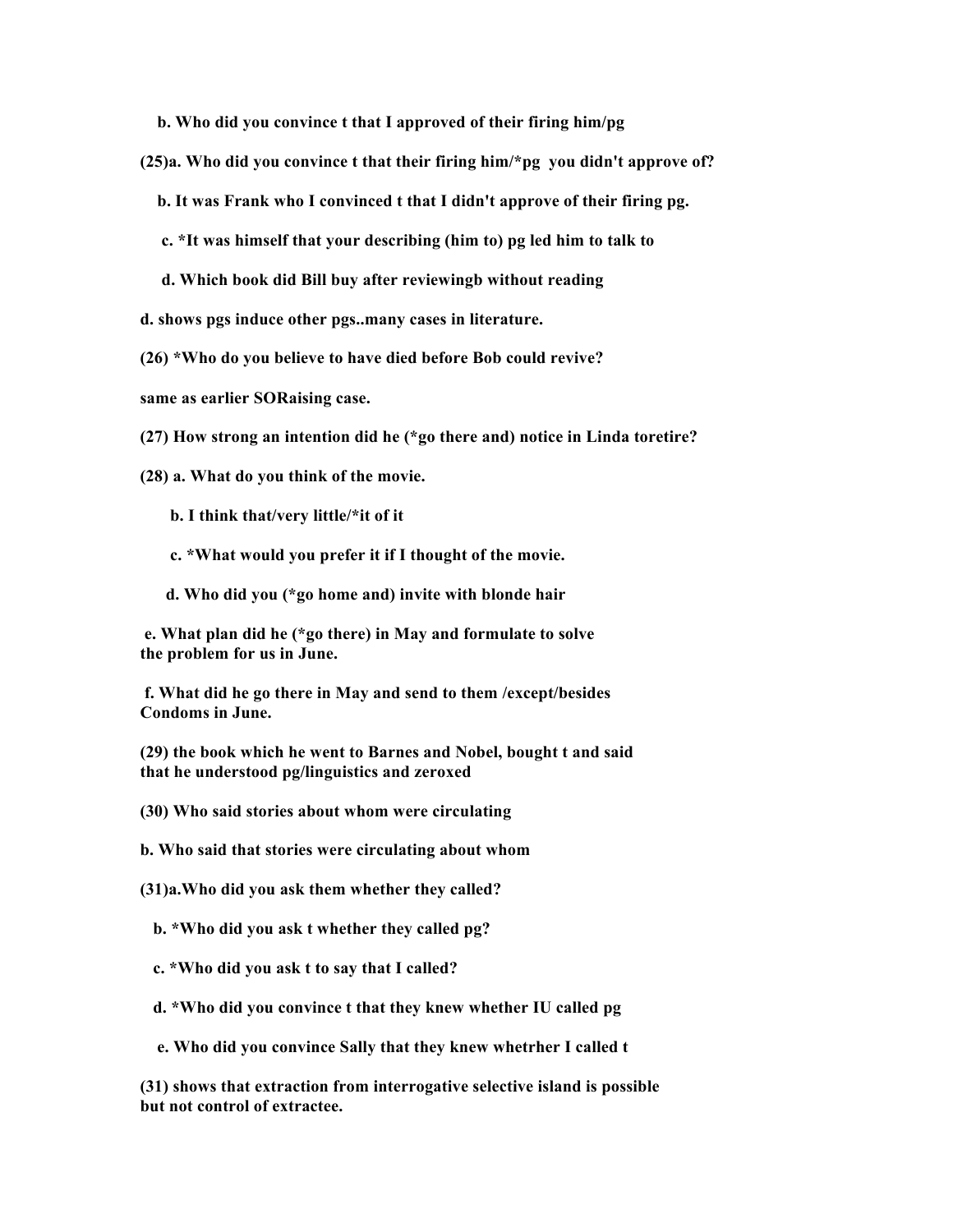**b. Who did you convince t that I approved of their firing him/pg**

**(25)a. Who did you convince t that their firing him/\*pg you didn't approve of?**

 **b. It was Frank who I convinced t that I didn't approve of their firing pg.**

- **c. \*It was himself that your describing (him to) pg led him to talk to**
- **d. Which book did Bill buy after reviewingb without reading**

**d. shows pgs induce other pgs..many cases in literature.**

**(26) \*Who do you believe to have died before Bob could revive?**

**same as earlier SORaising case.**

**(27) How strong an intention did he (\*go there and) notice in Linda toretire?**

**(28) a. What do you think of the movie.**

- **b. I think that/very little/\*it of it**
- **c. \*What would you prefer it if I thought of the movie.**
- **d. Who did you (\*go home and) invite with blonde hair**

 **e. What plan did he (\*go there) in May and formulate to solve the problem for us in June.**

 **f. What did he go there in May and send to them /except/besides Condoms in June.**

**(29) the book which he went to Barnes and Nobel, bought t and said that he understood pg/linguistics and zeroxed**

**(30) Who said stories about whom were circulating**

**b. Who said that stories were circulating about whom**

**(31)a.Who did you ask them whether they called?**

 **b. \*Who did you ask t whether they called pg?**

 **c. \*Who did you ask t to say that I called?**

- **d. \*Who did you convince t that they knew whether IU called pg**
- **e. Who did you convince Sally that they knew whetrher I called t**

**(31) shows that extraction from interrogative selective island is possible but not control of extractee.**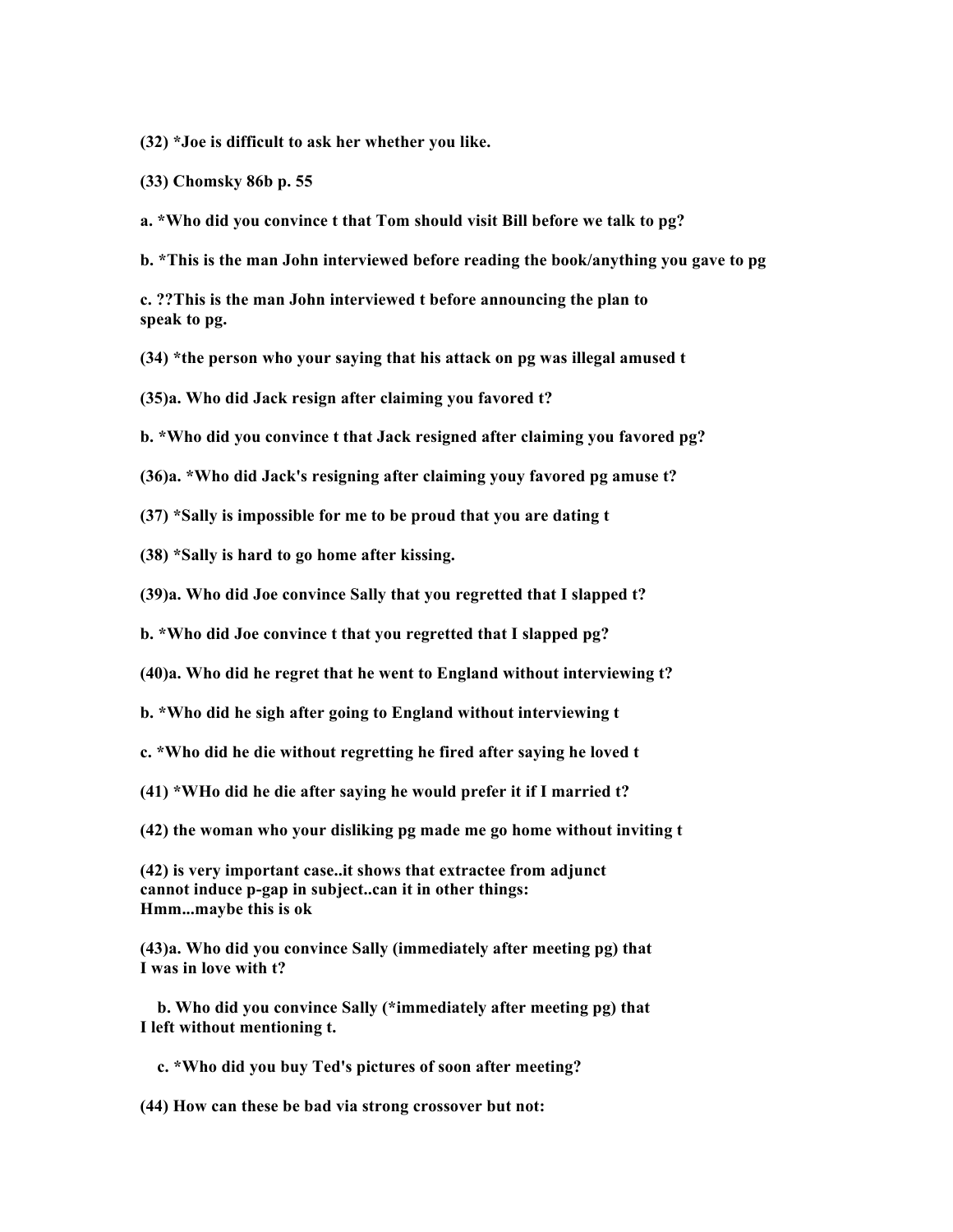**(32) \*Joe is difficult to ask her whether you like.**

**(33) Chomsky 86b p. 55**

**a. \*Who did you convince t that Tom should visit Bill before we talk to pg?**

**b. \*This is the man John interviewed before reading the book/anything you gave to pg**

**c. ??This is the man John interviewed t before announcing the plan to speak to pg.**

**(34) \*the person who your saying that his attack on pg was illegal amused t**

**(35)a. Who did Jack resign after claiming you favored t?**

**b. \*Who did you convince t that Jack resigned after claiming you favored pg?**

**(36)a. \*Who did Jack's resigning after claiming youy favored pg amuse t?**

**(37) \*Sally is impossible for me to be proud that you are dating t**

**(38) \*Sally is hard to go home after kissing.**

**(39)a. Who did Joe convince Sally that you regretted that I slapped t?**

**b. \*Who did Joe convince t that you regretted that I slapped pg?**

**(40)a. Who did he regret that he went to England without interviewing t?**

**b. \*Who did he sigh after going to England without interviewing t**

**c. \*Who did he die without regretting he fired after saying he loved t**

**(41) \*WHo did he die after saying he would prefer it if I married t?**

**(42) the woman who your disliking pg made me go home without inviting t**

**(42) is very important case..it shows that extractee from adjunct cannot induce p-gap in subject..can it in other things: Hmm...maybe this is ok**

**(43)a. Who did you convince Sally (immediately after meeting pg) that I was in love with t?**

 **b. Who did you convince Sally (\*immediately after meeting pg) that I left without mentioning t.**

 **c. \*Who did you buy Ted's pictures of soon after meeting?**

**(44) How can these be bad via strong crossover but not:**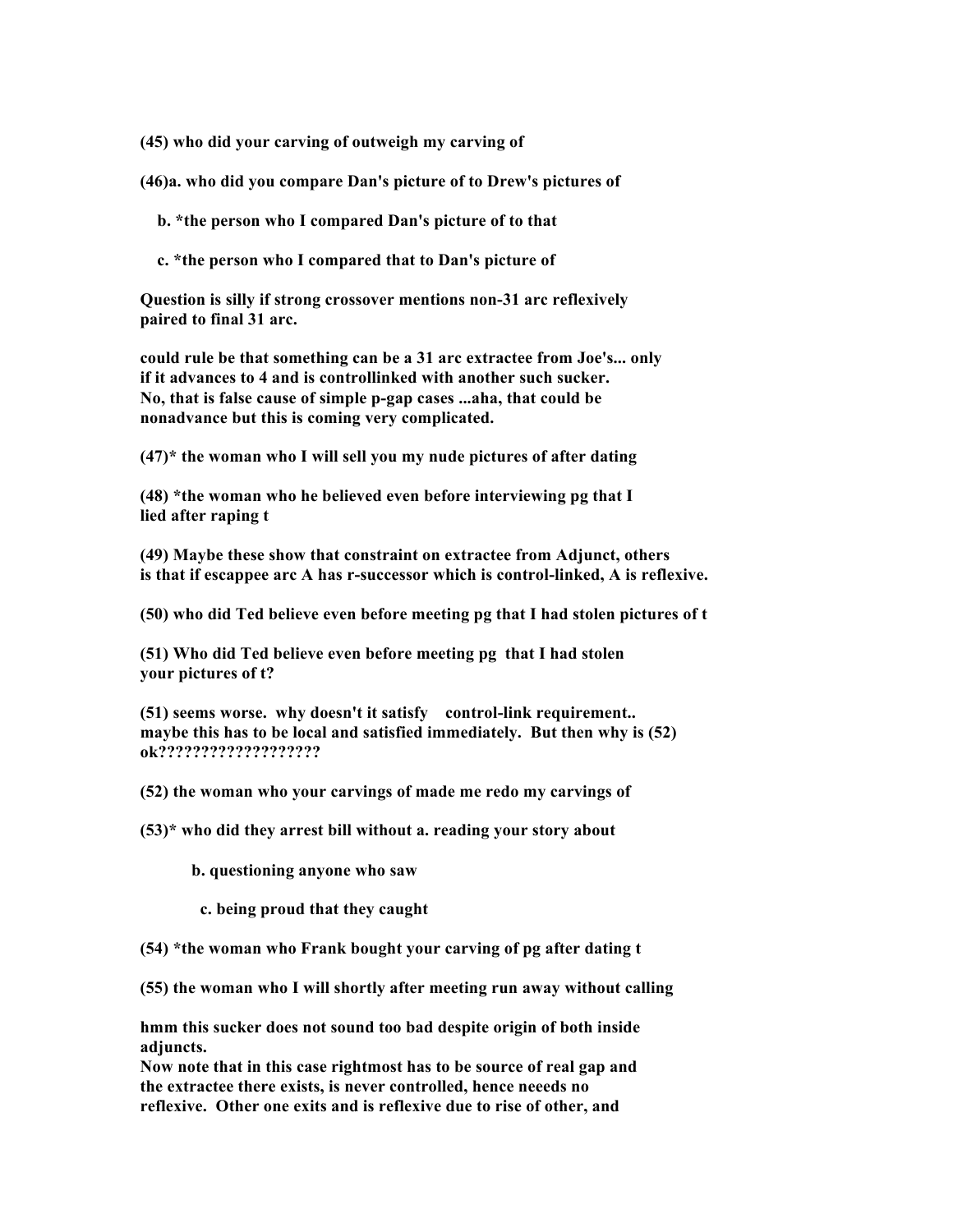**(45) who did your carving of outweigh my carving of**

**(46)a. who did you compare Dan's picture of to Drew's pictures of**

 **b. \*the person who I compared Dan's picture of to that**

 **c. \*the person who I compared that to Dan's picture of**

**Question is silly if strong crossover mentions non-31 arc reflexively paired to final 31 arc.**

**could rule be that something can be a 31 arc extractee from Joe's... only if it advances to 4 and is controllinked with another such sucker. No, that is false cause of simple p-gap cases ...aha, that could be nonadvance but this is coming very complicated.**

**(47)\* the woman who I will sell you my nude pictures of after dating**

**(48) \*the woman who he believed even before interviewing pg that I lied after raping t**

**(49) Maybe these show that constraint on extractee from Adjunct, others is that if escappee arc A has r-successor which is control-linked, A is reflexive.**

**(50) who did Ted believe even before meeting pg that I had stolen pictures of t**

**(51) Who did Ted believe even before meeting pg that I had stolen your pictures of t?**

**(51) seems worse. why doesn't it satisfy control-link requirement.. maybe this has to be local and satisfied immediately. But then why is (52) ok???????????????????**

**(52) the woman who your carvings of made me redo my carvings of**

**(53)\* who did they arrest bill without a. reading your story about**

 **b. questioning anyone who saw**

 **c. being proud that they caught**

**(54) \*the woman who Frank bought your carving of pg after dating t**

**(55) the woman who I will shortly after meeting run away without calling**

**hmm this sucker does not sound too bad despite origin of both inside adjuncts.**

**Now note that in this case rightmost has to be source of real gap and the extractee there exists, is never controlled, hence neeeds no reflexive. Other one exits and is reflexive due to rise of other, and**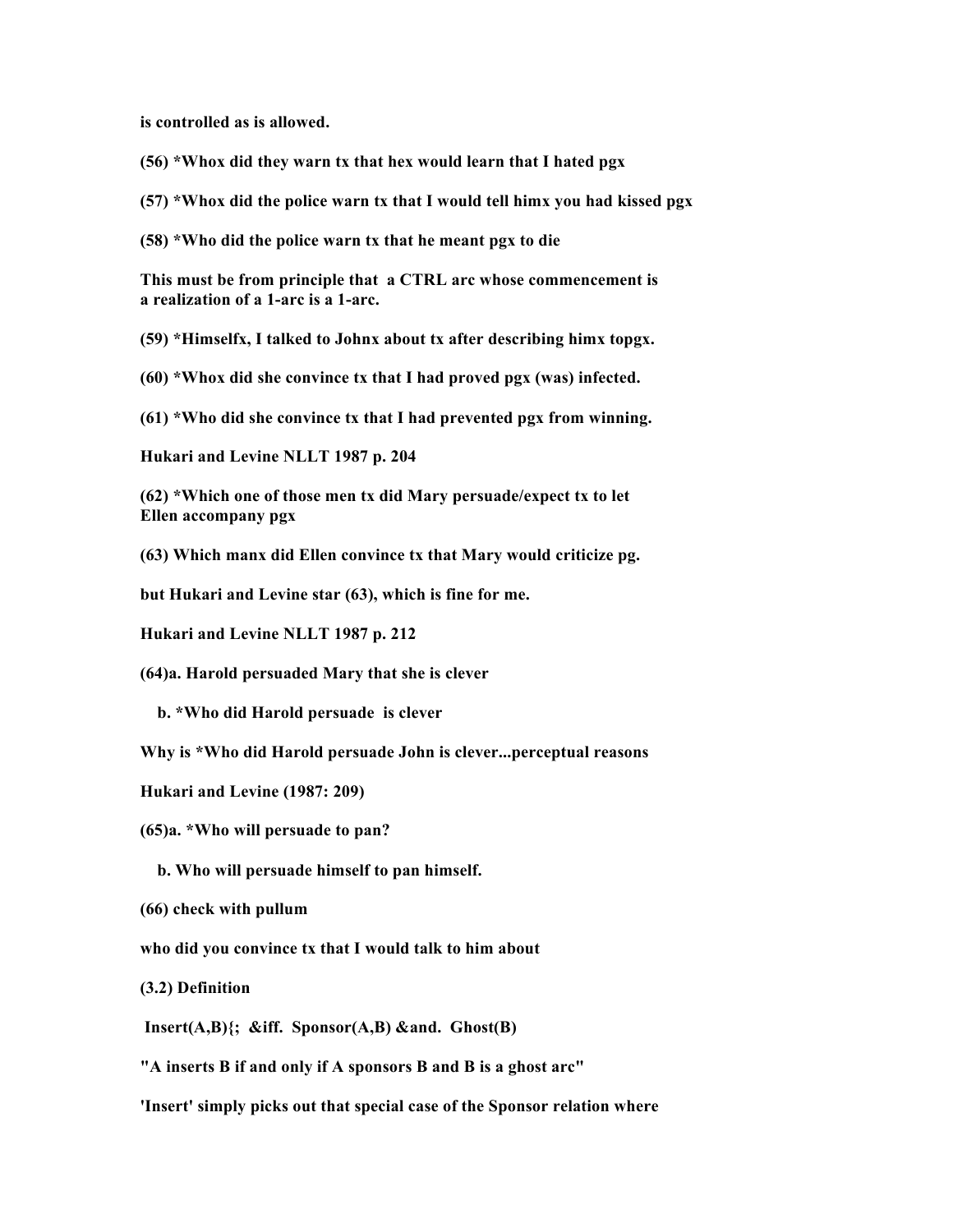**is controlled as is allowed.**

- **(56) \*Whox did they warn tx that hex would learn that I hated pgx**
- **(57) \*Whox did the police warn tx that I would tell himx you had kissed pgx**
- **(58) \*Who did the police warn tx that he meant pgx to die**

**This must be from principle that a CTRL arc whose commencement is a realization of a 1-arc is a 1-arc.**

- **(59) \*Himselfx, I talked to Johnx about tx after describing himx topgx.**
- **(60) \*Whox did she convince tx that I had proved pgx (was) infected.**

**(61) \*Who did she convince tx that I had prevented pgx from winning.**

**Hukari and Levine NLLT 1987 p. 204**

**(62) \*Which one of those men tx did Mary persuade/expect tx to let Ellen accompany pgx**

**(63) Which manx did Ellen convince tx that Mary would criticize pg.**

**but Hukari and Levine star (63), which is fine for me.**

**Hukari and Levine NLLT 1987 p. 212**

**(64)a. Harold persuaded Mary that she is clever**

 **b. \*Who did Harold persuade is clever**

**Why is \*Who did Harold persuade John is clever...perceptual reasons**

**Hukari and Levine (1987: 209)**

**(65)a. \*Who will persuade to pan?**

- **b. Who will persuade himself to pan himself.**
- **(66) check with pullum**

**who did you convince tx that I would talk to him about**

**(3.2) Definition**

 **Insert(A,B){; &iff. Sponsor(A,B) &and. Ghost(B)**

**"A inserts B if and only if A sponsors B and B is a ghost arc"**

**'Insert' simply picks out that special case of the Sponsor relation where**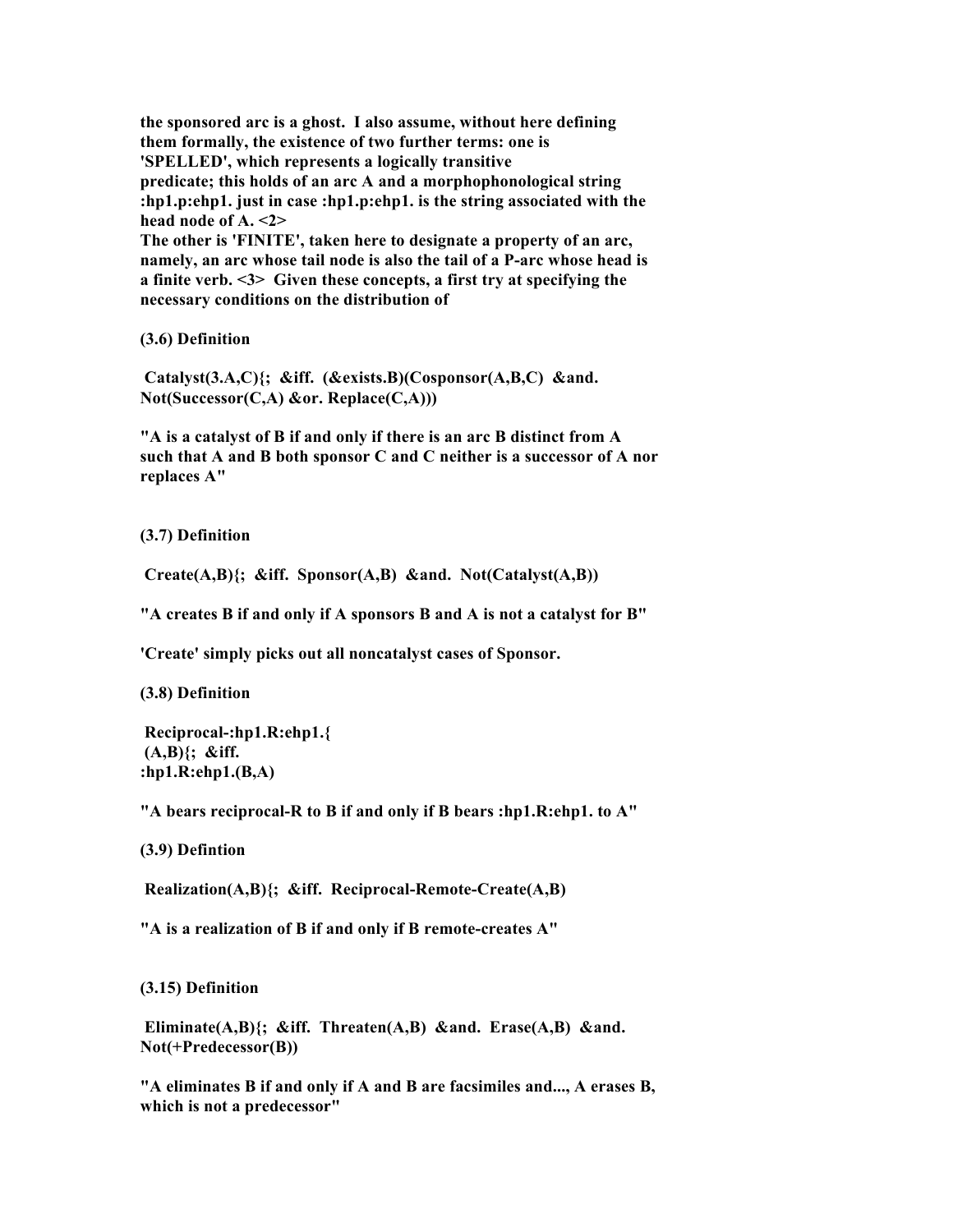**the sponsored arc is a ghost. I also assume, without here defining them formally, the existence of two further terms: one is 'SPELLED', which represents a logically transitive predicate; this holds of an arc A and a morphophonological string :hp1.p:ehp1. just in case :hp1.p:ehp1. is the string associated with the head node of A. <2> The other is 'FINITE', taken here to designate a property of an arc, namely, an arc whose tail node is also the tail of a P-arc whose head is a finite verb. <3> Given these concepts, a first try at specifying the necessary conditions on the distribution of**

**(3.6) Definition**

 **Catalyst(3.A,C){; &iff. (&exists.B)(Cosponsor(A,B,C) &and. Not(Successor(C,A) &or. Replace(C,A)))**

**"A is a catalyst of B if and only if there is an arc B distinct from A such that A and B both sponsor C and C neither is a successor of A nor replaces A"**

**(3.7) Definition**

 **Create(A,B){; &iff. Sponsor(A,B) &and. Not(Catalyst(A,B))**

**"A creates B if and only if A sponsors B and A is not a catalyst for B"**

**'Create' simply picks out all noncatalyst cases of Sponsor.**

**(3.8) Definition**

 **Reciprocal-:hp1.R:ehp1.{ (A,B){; &iff. :hp1.R:ehp1.(B,A)**

**"A bears reciprocal-R to B if and only if B bears :hp1.R:ehp1. to A"**

**(3.9) Defintion**

 **Realization(A,B){; &iff. Reciprocal-Remote-Create(A,B)**

**"A is a realization of B if and only if B remote-creates A"**

**(3.15) Definition**

 **Eliminate(A,B){; &iff. Threaten(A,B) &and. Erase(A,B) &and. Not(+Predecessor(B))**

**"A eliminates B if and only if A and B are facsimiles and..., A erases B, which is not a predecessor"**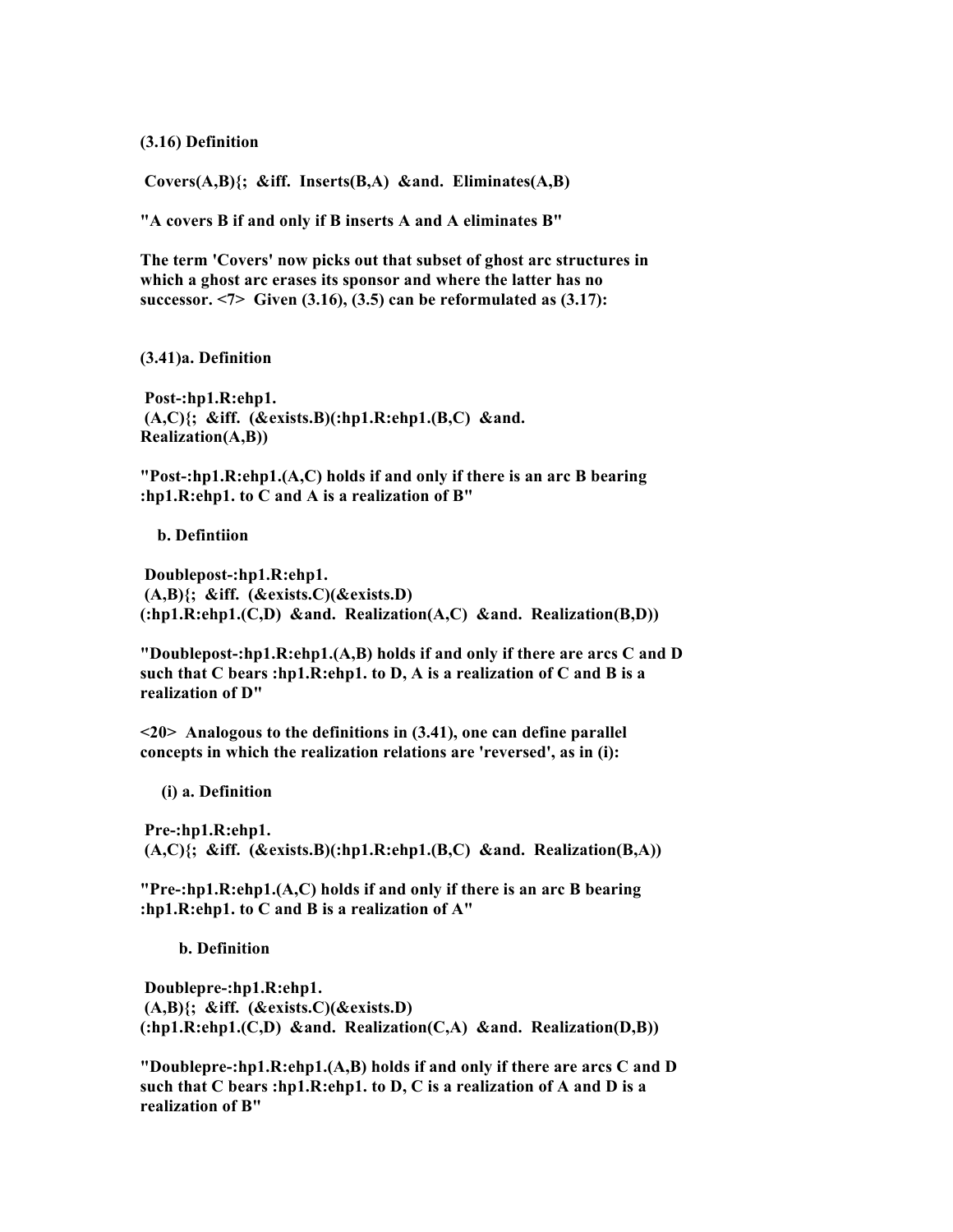**(3.16) Definition**

 **Covers(A,B){; &iff. Inserts(B,A) &and. Eliminates(A,B)**

**"A covers B if and only if B inserts A and A eliminates B"**

**The term 'Covers' now picks out that subset of ghost arc structures in which a ghost arc erases its sponsor and where the latter has no successor. <7> Given (3.16), (3.5) can be reformulated as (3.17):**

**(3.41)a. Definition**

 **Post-:hp1.R:ehp1. (A,C){; &iff. (&exists.B)(:hp1.R:ehp1.(B,C) &and. Realization(A,B))**

**"Post-:hp1.R:ehp1.(A,C) holds if and only if there is an arc B bearing :hp1.R:ehp1. to C and A is a realization of B"**

 **b. Defintiion**

 **Doublepost-:hp1.R:ehp1. (A,B){; &iff. (&exists.C)(&exists.D) (:hp1.R:ehp1.(C,D) &and. Realization(A,C) &and. Realization(B,D))**

**"Doublepost-:hp1.R:ehp1.(A,B) holds if and only if there are arcs C and D such that C bears :hp1.R:ehp1. to D, A is a realization of C and B is a realization of D"**

**<20> Analogous to the definitions in (3.41), one can define parallel concepts in which the realization relations are 'reversed', as in (i):**

 **(i) a. Definition**

 **Pre-:hp1.R:ehp1. (A,C){; &iff. (&exists.B)(:hp1.R:ehp1.(B,C) &and. Realization(B,A))**

**"Pre-:hp1.R:ehp1.(A,C) holds if and only if there is an arc B bearing :hp1.R:ehp1. to C and B is a realization of A"**

 **b. Definition**

 **Doublepre-:hp1.R:ehp1. (A,B){; &iff. (&exists.C)(&exists.D) (:hp1.R:ehp1.(C,D) &and. Realization(C,A) &and. Realization(D,B))**

**"Doublepre-:hp1.R:ehp1.(A,B) holds if and only if there are arcs C and D such that C bears :hp1.R:ehp1. to D, C is a realization of A and D is a realization of B"**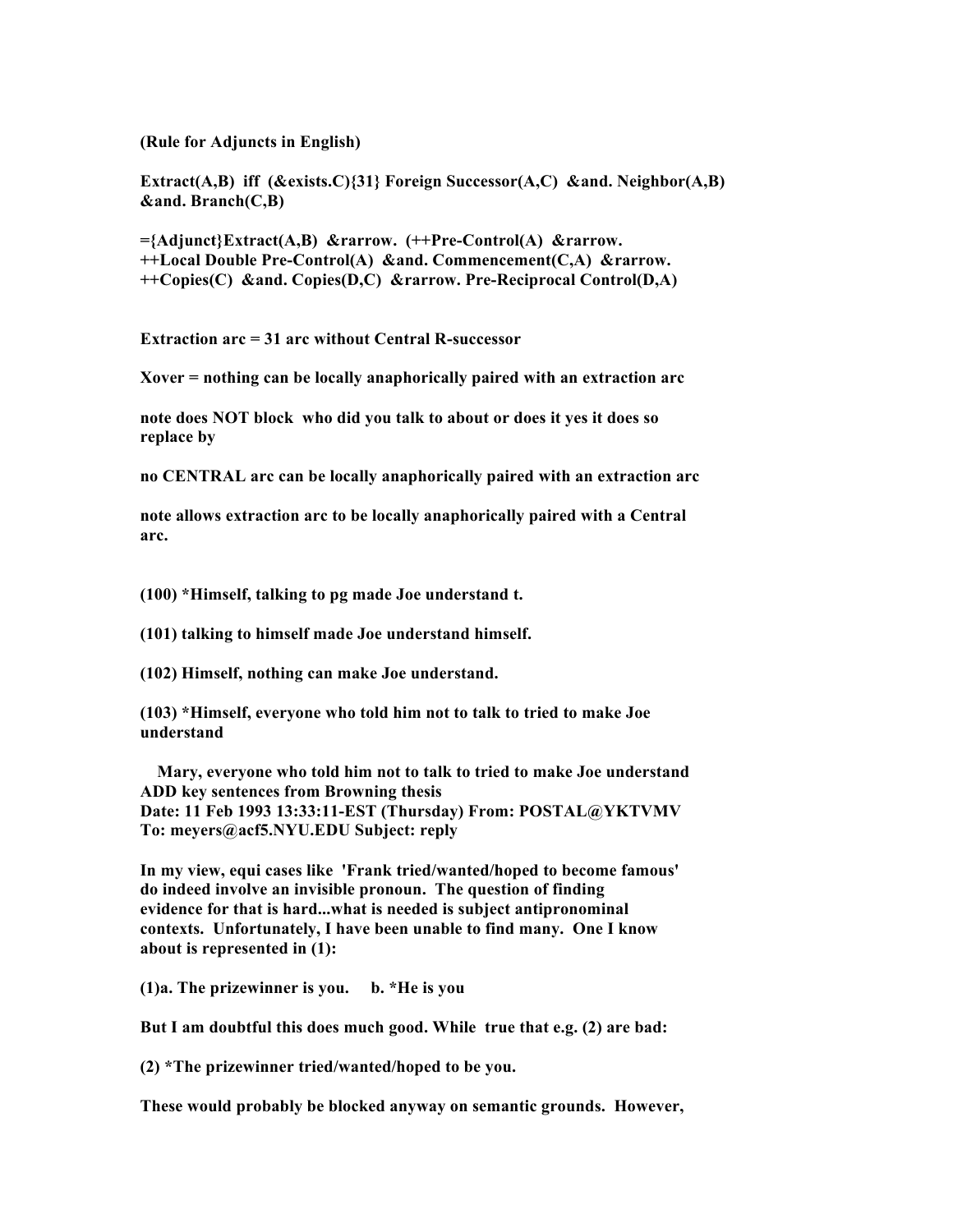**(Rule for Adjuncts in English)**

**Extract(A,B) iff (&exists.C){31} Foreign Successor(A,C) &and. Neighbor(A,B) &and. Branch(C,B)**

**={Adjunct}Extract(A,B) &rarrow. (++Pre-Control(A) &rarrow. ++Local Double Pre-Control(A) &and. Commencement(C,A) &rarrow. ++Copies(C) &and. Copies(D,C) &rarrow. Pre-Reciprocal Control(D,A)**

**Extraction arc = 31 arc without Central R-successor**

**Xover = nothing can be locally anaphorically paired with an extraction arc**

**note does NOT block who did you talk to about or does it yes it does so replace by**

**no CENTRAL arc can be locally anaphorically paired with an extraction arc**

**note allows extraction arc to be locally anaphorically paired with a Central arc.**

**(100) \*Himself, talking to pg made Joe understand t.**

**(101) talking to himself made Joe understand himself.**

**(102) Himself, nothing can make Joe understand.**

**(103) \*Himself, everyone who told him not to talk to tried to make Joe understand**

 **Mary, everyone who told him not to talk to tried to make Joe understand ADD key sentences from Browning thesis Date: 11 Feb 1993 13:33:11-EST (Thursday) From: POSTAL@YKTVMV To: meyers@acf5.NYU.EDU Subject: reply**

**In my view, equi cases like 'Frank tried/wanted/hoped to become famous' do indeed involve an invisible pronoun. The question of finding evidence for that is hard...what is needed is subject antipronominal contexts. Unfortunately, I have been unable to find many. One I know about is represented in (1):**

**(1)a. The prizewinner is you. b. \*He is you**

**But I am doubtful this does much good. While true that e.g. (2) are bad:**

**(2) \*The prizewinner tried/wanted/hoped to be you.**

**These would probably be blocked anyway on semantic grounds. However,**